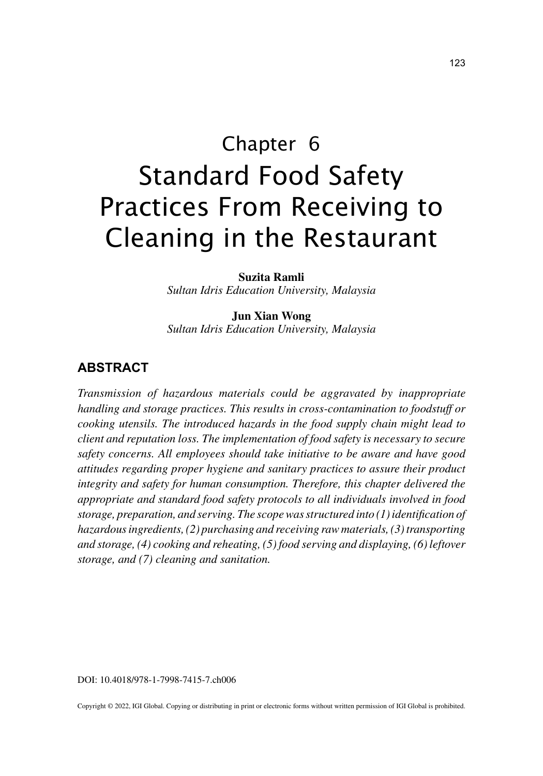# Chapter 6 Standard Food Safety Practices From Receiving to Cleaning in the Restaurant

**Suzita Ramli**

*Sultan Idris Education University, Malaysia*

**Jun Xian Wong** *Sultan Idris Education University, Malaysia*

## **ABSTRACT**

*Transmission of hazardous materials could be aggravated by inappropriate handling and storage practices. This results in cross-contamination to foodstuff or cooking utensils. The introduced hazards in the food supply chain might lead to client and reputation loss. The implementation of food safety is necessary to secure safety concerns. All employees should take initiative to be aware and have good attitudes regarding proper hygiene and sanitary practices to assure their product integrity and safety for human consumption. Therefore, this chapter delivered the appropriate and standard food safety protocols to all individuals involved in food storage, preparation, and serving. The scope was structured into (1) identification of hazardous ingredients, (2) purchasing and receiving raw materials, (3) transporting and storage, (4) cooking and reheating, (5) food serving and displaying, (6) leftover storage, and (7) cleaning and sanitation.*

DOI: 10.4018/978-1-7998-7415-7.ch006

Copyright © 2022, IGI Global. Copying or distributing in print or electronic forms without written permission of IGI Global is prohibited.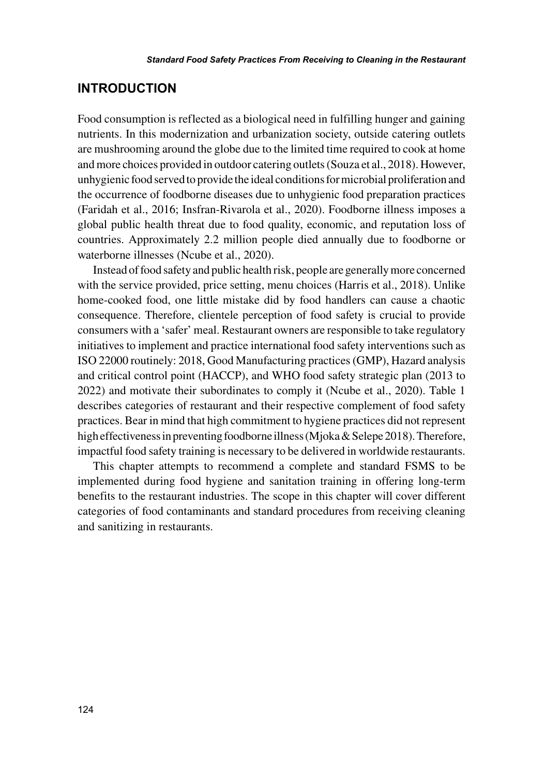### **INTRODUCTION**

Food consumption is reflected as a biological need in fulfilling hunger and gaining nutrients. In this modernization and urbanization society, outside catering outlets are mushrooming around the globe due to the limited time required to cook at home and more choices provided in outdoor catering outlets (Souza et al., 2018). However, unhygienic food served to provide the ideal conditions for microbial proliferation and the occurrence of foodborne diseases due to unhygienic food preparation practices (Faridah et al., 2016; Insfran-Rivarola et al., 2020). Foodborne illness imposes a global public health threat due to food quality, economic, and reputation loss of countries. Approximately 2.2 million people died annually due to foodborne or waterborne illnesses (Ncube et al., 2020).

Instead of food safety and public health risk, people are generally more concerned with the service provided, price setting, menu choices (Harris et al., 2018). Unlike home-cooked food, one little mistake did by food handlers can cause a chaotic consequence. Therefore, clientele perception of food safety is crucial to provide consumers with a 'safer' meal. Restaurant owners are responsible to take regulatory initiatives to implement and practice international food safety interventions such as ISO 22000 routinely: 2018, Good Manufacturing practices (GMP), Hazard analysis and critical control point (HACCP), and WHO food safety strategic plan (2013 to 2022) and motivate their subordinates to comply it (Ncube et al., 2020). Table 1 describes categories of restaurant and their respective complement of food safety practices. Bear in mind that high commitment to hygiene practices did not represent high effectiveness in preventing foodborne illness (Mjoka & Selepe 2018). Therefore, impactful food safety training is necessary to be delivered in worldwide restaurants.

This chapter attempts to recommend a complete and standard FSMS to be implemented during food hygiene and sanitation training in offering long-term benefits to the restaurant industries. The scope in this chapter will cover different categories of food contaminants and standard procedures from receiving cleaning and sanitizing in restaurants.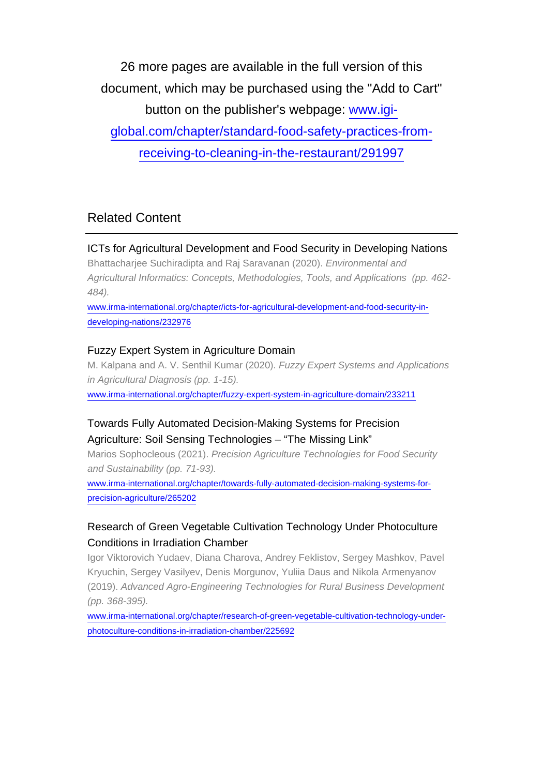26 more pages are available in the full version of this document, which may be purchased using the "Add to Cart" button on the publisher's webpage: [www.igi](http://www.igi-global.com/chapter/standard-food-safety-practices-from-receiving-to-cleaning-in-the-restaurant/291997)[global.com/chapter/standard-food-safety-practices-from](http://www.igi-global.com/chapter/standard-food-safety-practices-from-receiving-to-cleaning-in-the-restaurant/291997)[receiving-to-cleaning-in-the-restaurant/291997](http://www.igi-global.com/chapter/standard-food-safety-practices-from-receiving-to-cleaning-in-the-restaurant/291997)

## Related Content

#### ICTs for Agricultural Development and Food Security in Developing Nations

Bhattacharjee Suchiradipta and Raj Saravanan (2020). Environmental and Agricultural Informatics: Concepts, Methodologies, Tools, and Applications (pp. 462- 484).

[www.irma-international.org/chapter/icts-for-agricultural-development-and-food-security-in](http://www.irma-international.org/chapter/icts-for-agricultural-development-and-food-security-in-developing-nations/232976)[developing-nations/232976](http://www.irma-international.org/chapter/icts-for-agricultural-development-and-food-security-in-developing-nations/232976)

#### Fuzzy Expert System in Agriculture Domain

M. Kalpana and A. V. Senthil Kumar (2020). Fuzzy Expert Systems and Applications in Agricultural Diagnosis (pp. 1-15).

[www.irma-international.org/chapter/fuzzy-expert-system-in-agriculture-domain/233211](http://www.irma-international.org/chapter/fuzzy-expert-system-in-agriculture-domain/233211)

## Towards Fully Automated Decision-Making Systems for Precision Agriculture: Soil Sensing Technologies – "The Missing Link"

Marios Sophocleous (2021). Precision Agriculture Technologies for Food Security and Sustainability (pp. 71-93).

[www.irma-international.org/chapter/towards-fully-automated-decision-making-systems-for](http://www.irma-international.org/chapter/towards-fully-automated-decision-making-systems-for-precision-agriculture/265202)[precision-agriculture/265202](http://www.irma-international.org/chapter/towards-fully-automated-decision-making-systems-for-precision-agriculture/265202)

## Research of Green Vegetable Cultivation Technology Under Photoculture Conditions in Irradiation Chamber

Igor Viktorovich Yudaev, Diana Charova, Andrey Feklistov, Sergey Mashkov, Pavel Kryuchin, Sergey Vasilyev, Denis Morgunov, Yuliia Daus and Nikola Armenyanov (2019). Advanced Agro-Engineering Technologies for Rural Business Development (pp. 368-395).

[www.irma-international.org/chapter/research-of-green-vegetable-cultivation-technology-under](http://www.irma-international.org/chapter/research-of-green-vegetable-cultivation-technology-under-photoculture-conditions-in-irradiation-chamber/225692)[photoculture-conditions-in-irradiation-chamber/225692](http://www.irma-international.org/chapter/research-of-green-vegetable-cultivation-technology-under-photoculture-conditions-in-irradiation-chamber/225692)